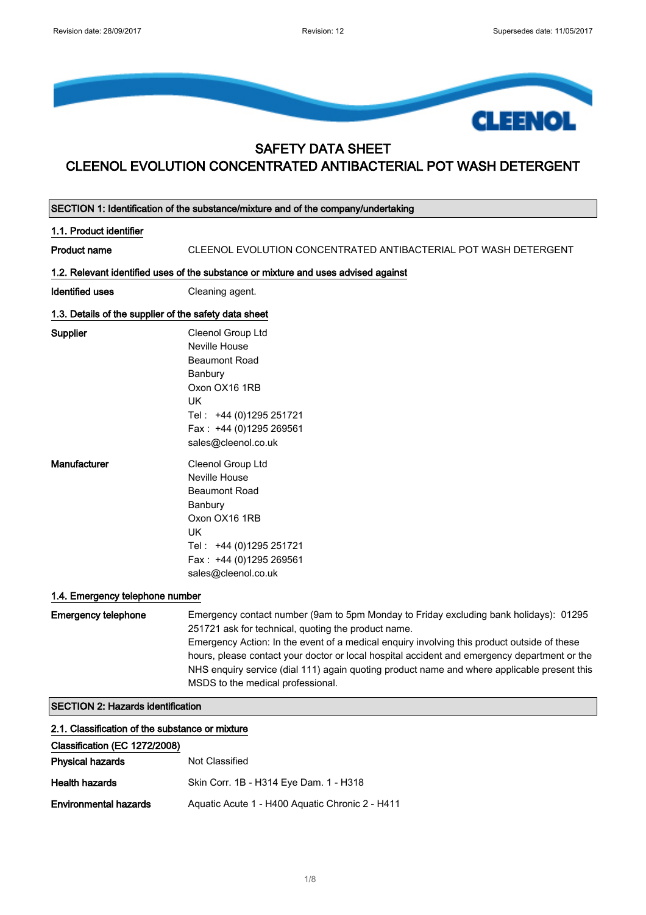

## SAFETY DATA SHEET CLEENOL EVOLUTION CONCENTRATED ANTIBACTERIAL POT WASH DETERGENT

|                                                       | SECTION 1: Identification of the substance/mixture and of the company/undertaking                                                                                                                                                                                                                                                                                                                                                                                               |
|-------------------------------------------------------|---------------------------------------------------------------------------------------------------------------------------------------------------------------------------------------------------------------------------------------------------------------------------------------------------------------------------------------------------------------------------------------------------------------------------------------------------------------------------------|
| 1.1. Product identifier                               |                                                                                                                                                                                                                                                                                                                                                                                                                                                                                 |
| <b>Product name</b>                                   | CLEENOL EVOLUTION CONCENTRATED ANTIBACTERIAL POT WASH DETERGENT                                                                                                                                                                                                                                                                                                                                                                                                                 |
|                                                       | 1.2. Relevant identified uses of the substance or mixture and uses advised against                                                                                                                                                                                                                                                                                                                                                                                              |
| <b>Identified uses</b>                                | Cleaning agent.                                                                                                                                                                                                                                                                                                                                                                                                                                                                 |
| 1.3. Details of the supplier of the safety data sheet |                                                                                                                                                                                                                                                                                                                                                                                                                                                                                 |
| Supplier                                              | Cleenol Group Ltd<br>Neville House<br><b>Beaumont Road</b><br>Banbury<br>Oxon OX16 1RB<br><b>UK</b><br>Tel: +44 (0)1295 251721<br>Fax: +44 (0)1295 269561<br>sales@cleenol.co.uk                                                                                                                                                                                                                                                                                                |
| Manufacturer                                          | Cleenol Group Ltd<br>Neville House<br><b>Beaumont Road</b><br>Banbury<br>Oxon OX16 1RB<br>UK<br>Tel: +44 (0)1295 251721<br>Fax: +44 (0)1295 269561<br>sales@cleenol.co.uk                                                                                                                                                                                                                                                                                                       |
| 1.4. Emergency telephone number                       |                                                                                                                                                                                                                                                                                                                                                                                                                                                                                 |
| <b>Emergency telephone</b>                            | Emergency contact number (9am to 5pm Monday to Friday excluding bank holidays): 01295<br>251721 ask for technical, quoting the product name.<br>Emergency Action: In the event of a medical enquiry involving this product outside of these<br>hours, please contact your doctor or local hospital accident and emergency department or the<br>NHS enquiry service (dial 111) again quoting product name and where applicable present this<br>MSDS to the medical professional. |
| <b>SECTION 2: Hazards identification</b>              |                                                                                                                                                                                                                                                                                                                                                                                                                                                                                 |
| 2.1. Classification of the substance or mixture       |                                                                                                                                                                                                                                                                                                                                                                                                                                                                                 |
| Classification (EC 1272/2008)                         |                                                                                                                                                                                                                                                                                                                                                                                                                                                                                 |
| <b>Physical hazards</b>                               | Not Classified                                                                                                                                                                                                                                                                                                                                                                                                                                                                  |
| <b>Health hazards</b>                                 | Skin Corr. 1B - H314 Eye Dam. 1 - H318                                                                                                                                                                                                                                                                                                                                                                                                                                          |
| <b>Environmental hazards</b>                          | Aquatic Acute 1 - H400 Aquatic Chronic 2 - H411                                                                                                                                                                                                                                                                                                                                                                                                                                 |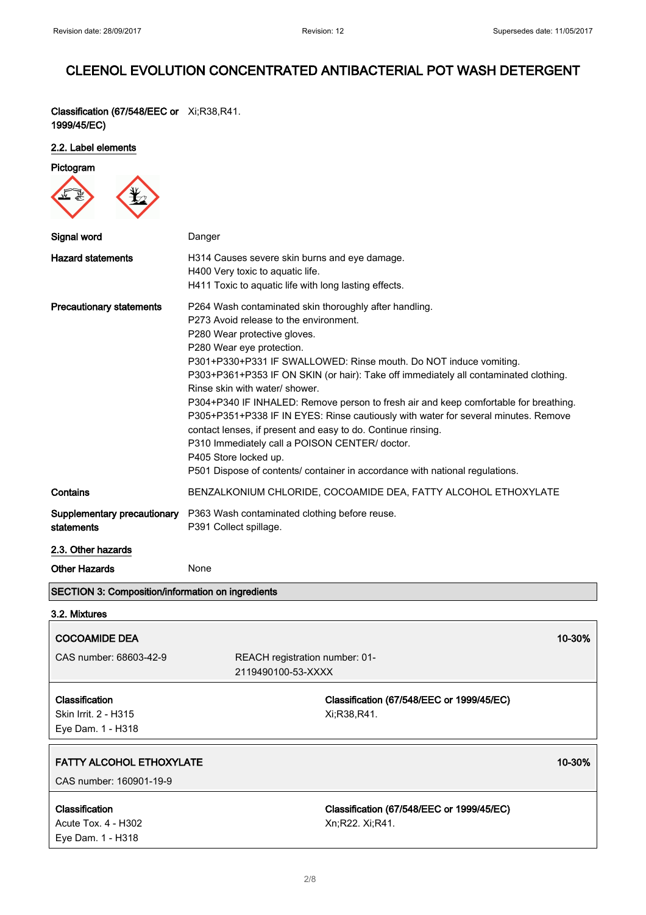Classification (67/548/EEC or Xi;R38,R41. 1999/45/EC)

#### 2.2. Label elements

| Pictogram                                                   |                                                                                                                                                                                                                                                                                                                                                                                                                                                                                                                                                                                                                                                                                                                                                                       |  |
|-------------------------------------------------------------|-----------------------------------------------------------------------------------------------------------------------------------------------------------------------------------------------------------------------------------------------------------------------------------------------------------------------------------------------------------------------------------------------------------------------------------------------------------------------------------------------------------------------------------------------------------------------------------------------------------------------------------------------------------------------------------------------------------------------------------------------------------------------|--|
|                                                             |                                                                                                                                                                                                                                                                                                                                                                                                                                                                                                                                                                                                                                                                                                                                                                       |  |
| Signal word                                                 | Danger                                                                                                                                                                                                                                                                                                                                                                                                                                                                                                                                                                                                                                                                                                                                                                |  |
| <b>Hazard statements</b>                                    | H314 Causes severe skin burns and eye damage.<br>H400 Very toxic to aquatic life.<br>H411 Toxic to aquatic life with long lasting effects.                                                                                                                                                                                                                                                                                                                                                                                                                                                                                                                                                                                                                            |  |
| <b>Precautionary statements</b>                             | P264 Wash contaminated skin thoroughly after handling.<br>P273 Avoid release to the environment.<br>P280 Wear protective gloves.<br>P280 Wear eye protection.<br>P301+P330+P331 IF SWALLOWED: Rinse mouth. Do NOT induce vomiting.<br>P303+P361+P353 IF ON SKIN (or hair): Take off immediately all contaminated clothing.<br>Rinse skin with water/ shower.<br>P304+P340 IF INHALED: Remove person to fresh air and keep comfortable for breathing.<br>P305+P351+P338 IF IN EYES: Rinse cautiously with water for several minutes. Remove<br>contact lenses, if present and easy to do. Continue rinsing.<br>P310 Immediately call a POISON CENTER/ doctor.<br>P405 Store locked up.<br>P501 Dispose of contents/ container in accordance with national regulations. |  |
| Contains                                                    | BENZALKONIUM CHLORIDE, COCOAMIDE DEA, FATTY ALCOHOL ETHOXYLATE                                                                                                                                                                                                                                                                                                                                                                                                                                                                                                                                                                                                                                                                                                        |  |
| Supplementary precautionary<br>statements                   | P363 Wash contaminated clothing before reuse.<br>P391 Collect spillage.                                                                                                                                                                                                                                                                                                                                                                                                                                                                                                                                                                                                                                                                                               |  |
| 2.3. Other hazards                                          |                                                                                                                                                                                                                                                                                                                                                                                                                                                                                                                                                                                                                                                                                                                                                                       |  |
| <b>Other Hazards</b>                                        | None                                                                                                                                                                                                                                                                                                                                                                                                                                                                                                                                                                                                                                                                                                                                                                  |  |
| SECTION 3: Composition/information on ingredients           |                                                                                                                                                                                                                                                                                                                                                                                                                                                                                                                                                                                                                                                                                                                                                                       |  |
| 3.2. Mixtures                                               |                                                                                                                                                                                                                                                                                                                                                                                                                                                                                                                                                                                                                                                                                                                                                                       |  |
| <b>COCOAMIDE DEA</b>                                        | 10-30%                                                                                                                                                                                                                                                                                                                                                                                                                                                                                                                                                                                                                                                                                                                                                                |  |
| CAS number: 68603-42-9                                      | REACH registration number: 01-<br>2119490100-53-XXXX                                                                                                                                                                                                                                                                                                                                                                                                                                                                                                                                                                                                                                                                                                                  |  |
| Classification<br>Skin Irrit. 2 - H315<br>Eye Dam. 1 - H318 | Classification (67/548/EEC or 1999/45/EC)<br>Xi;R38,R41.                                                                                                                                                                                                                                                                                                                                                                                                                                                                                                                                                                                                                                                                                                              |  |
| <b>FATTY ALCOHOL ETHOXYLATE</b><br>CAS number: 160901-19-9  | 10-30%                                                                                                                                                                                                                                                                                                                                                                                                                                                                                                                                                                                                                                                                                                                                                                |  |
| Classification<br>Acute Tox. 4 - H302<br>Eye Dam. 1 - H318  | Classification (67/548/EEC or 1999/45/EC)<br>Xn;R22. Xi;R41.                                                                                                                                                                                                                                                                                                                                                                                                                                                                                                                                                                                                                                                                                                          |  |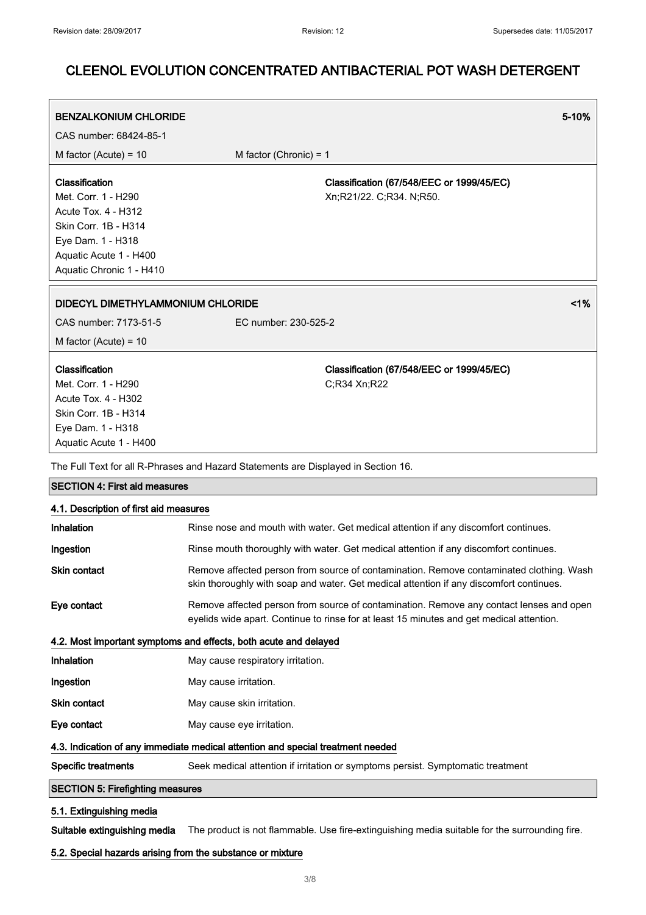| <b>BENZALKONIUM CHLORIDE</b>                                                                                                               |                                                                       | $5 - 10%$ |
|--------------------------------------------------------------------------------------------------------------------------------------------|-----------------------------------------------------------------------|-----------|
| CAS number: 68424-85-1                                                                                                                     |                                                                       |           |
| M factor (Acute) = $10$                                                                                                                    | M factor (Chronic) = $1$                                              |           |
| Classification<br>Met. Corr. 1 - H290<br><b>Acute Tox. 4 - H312</b>                                                                        | Classification (67/548/EEC or 1999/45/EC)<br>Xn;R21/22. C;R34. N;R50. |           |
| Skin Corr. 1B - H314<br>Eye Dam. 1 - H318<br>Aquatic Acute 1 - H400<br>Aquatic Chronic 1 - H410                                            |                                                                       |           |
| DIDECYL DIMETHYLAMMONIUM CHLORIDE                                                                                                          |                                                                       | 1%        |
| CAS number: 7173-51-5                                                                                                                      | EC number: 230-525-2                                                  |           |
| M factor (Acute) = $10$                                                                                                                    |                                                                       |           |
| Classification<br>Met. Corr. 1 - H290<br><b>Acute Tox. 4 - H302</b><br>Skin Corr. 1B - H314<br>Eye Dam. 1 - H318<br>Aquatic Acute 1 - H400 | Classification (67/548/EEC or 1999/45/EC)<br>C:R34 Xn:R22             |           |

The Full Text for all R-Phrases and Hazard Statements are Displayed in Section 16.

| <b>SECTION 4: First aid measures</b>                                            |                                                                                                                                                                                     |  |
|---------------------------------------------------------------------------------|-------------------------------------------------------------------------------------------------------------------------------------------------------------------------------------|--|
| 4.1. Description of first aid measures                                          |                                                                                                                                                                                     |  |
| <b>Inhalation</b>                                                               | Rinse nose and mouth with water. Get medical attention if any discomfort continues.                                                                                                 |  |
| Ingestion                                                                       | Rinse mouth thoroughly with water. Get medical attention if any discomfort continues.                                                                                               |  |
| Skin contact                                                                    | Remove affected person from source of contamination. Remove contaminated clothing. Wash<br>skin thoroughly with soap and water. Get medical attention if any discomfort continues.  |  |
| Eye contact                                                                     | Remove affected person from source of contamination. Remove any contact lenses and open<br>eyelids wide apart. Continue to rinse for at least 15 minutes and get medical attention. |  |
| 4.2. Most important symptoms and effects, both acute and delayed                |                                                                                                                                                                                     |  |
| Inhalation                                                                      | May cause respiratory irritation.                                                                                                                                                   |  |
| Ingestion                                                                       | May cause irritation.                                                                                                                                                               |  |
| <b>Skin contact</b>                                                             | May cause skin irritation.                                                                                                                                                          |  |
| Eye contact                                                                     | May cause eye irritation.                                                                                                                                                           |  |
| 4.3. Indication of any immediate medical attention and special treatment needed |                                                                                                                                                                                     |  |
| <b>Specific treatments</b>                                                      | Seek medical attention if irritation or symptoms persist. Symptomatic treatment                                                                                                     |  |
| <b>SECTION 5: Firefighting measures</b>                                         |                                                                                                                                                                                     |  |
|                                                                                 |                                                                                                                                                                                     |  |

#### 5.1. Extinguishing media

Suitable extinguishing media The product is not flammable. Use fire-extinguishing media suitable for the surrounding fire.

#### 5.2. Special hazards arising from the substance or mixture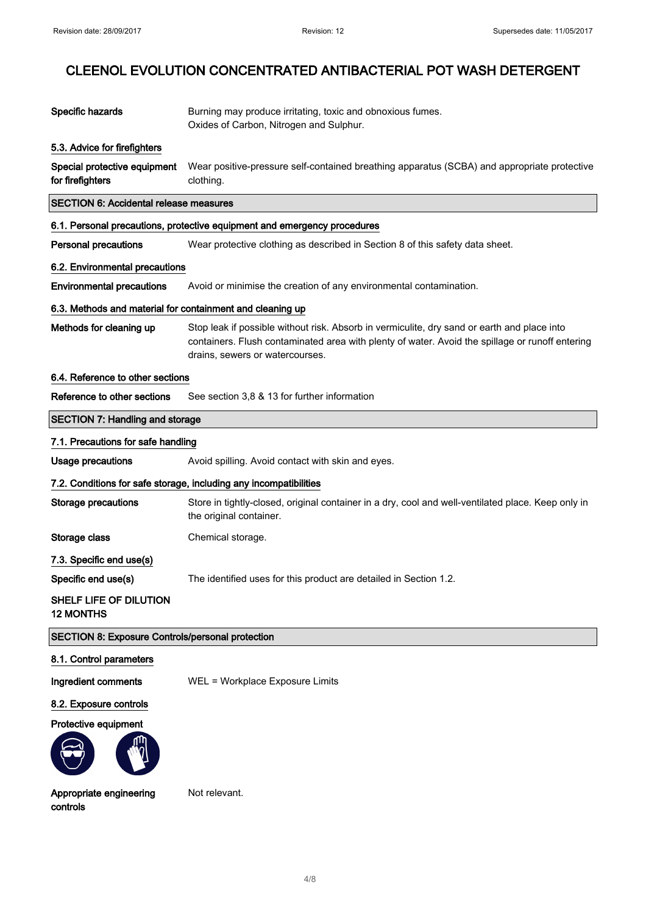| Specific hazards                                          | Burning may produce irritating, toxic and obnoxious fumes.<br>Oxides of Carbon, Nitrogen and Sulphur.                                                                                                                             |  |  |
|-----------------------------------------------------------|-----------------------------------------------------------------------------------------------------------------------------------------------------------------------------------------------------------------------------------|--|--|
| 5.3. Advice for firefighters                              |                                                                                                                                                                                                                                   |  |  |
| Special protective equipment<br>for firefighters          | Wear positive-pressure self-contained breathing apparatus (SCBA) and appropriate protective<br>clothing.                                                                                                                          |  |  |
|                                                           | <b>SECTION 6: Accidental release measures</b>                                                                                                                                                                                     |  |  |
|                                                           | 6.1. Personal precautions, protective equipment and emergency procedures                                                                                                                                                          |  |  |
| <b>Personal precautions</b>                               | Wear protective clothing as described in Section 8 of this safety data sheet.                                                                                                                                                     |  |  |
| 6.2. Environmental precautions                            |                                                                                                                                                                                                                                   |  |  |
| <b>Environmental precautions</b>                          | Avoid or minimise the creation of any environmental contamination.                                                                                                                                                                |  |  |
| 6.3. Methods and material for containment and cleaning up |                                                                                                                                                                                                                                   |  |  |
| Methods for cleaning up                                   | Stop leak if possible without risk. Absorb in vermiculite, dry sand or earth and place into<br>containers. Flush contaminated area with plenty of water. Avoid the spillage or runoff entering<br>drains, sewers or watercourses. |  |  |
| 6.4. Reference to other sections                          |                                                                                                                                                                                                                                   |  |  |
| Reference to other sections                               | See section 3,8 & 13 for further information                                                                                                                                                                                      |  |  |
| <b>SECTION 7: Handling and storage</b>                    |                                                                                                                                                                                                                                   |  |  |
| 7.1. Precautions for safe handling                        |                                                                                                                                                                                                                                   |  |  |
| <b>Usage precautions</b>                                  | Avoid spilling. Avoid contact with skin and eyes.                                                                                                                                                                                 |  |  |
|                                                           | 7.2. Conditions for safe storage, including any incompatibilities                                                                                                                                                                 |  |  |
| <b>Storage precautions</b>                                | Store in tightly-closed, original container in a dry, cool and well-ventilated place. Keep only in<br>the original container.                                                                                                     |  |  |
| Storage class                                             | Chemical storage.                                                                                                                                                                                                                 |  |  |
| 7.3. Specific end use(s)                                  |                                                                                                                                                                                                                                   |  |  |
| Specific end use(s)                                       | The identified uses for this product are detailed in Section 1.2.                                                                                                                                                                 |  |  |
| SHELF LIFE OF DILUTION<br><b>12 MONTHS</b>                |                                                                                                                                                                                                                                   |  |  |
| <b>SECTION 8: Exposure Controls/personal protection</b>   |                                                                                                                                                                                                                                   |  |  |
| 8.1. Control parameters                                   |                                                                                                                                                                                                                                   |  |  |
| Ingredient comments                                       | WEL = Workplace Exposure Limits                                                                                                                                                                                                   |  |  |
| 8.2. Exposure controls                                    |                                                                                                                                                                                                                                   |  |  |
| Protective equipment                                      |                                                                                                                                                                                                                                   |  |  |
| Appropriate engineering<br>controls                       | Not relevant.                                                                                                                                                                                                                     |  |  |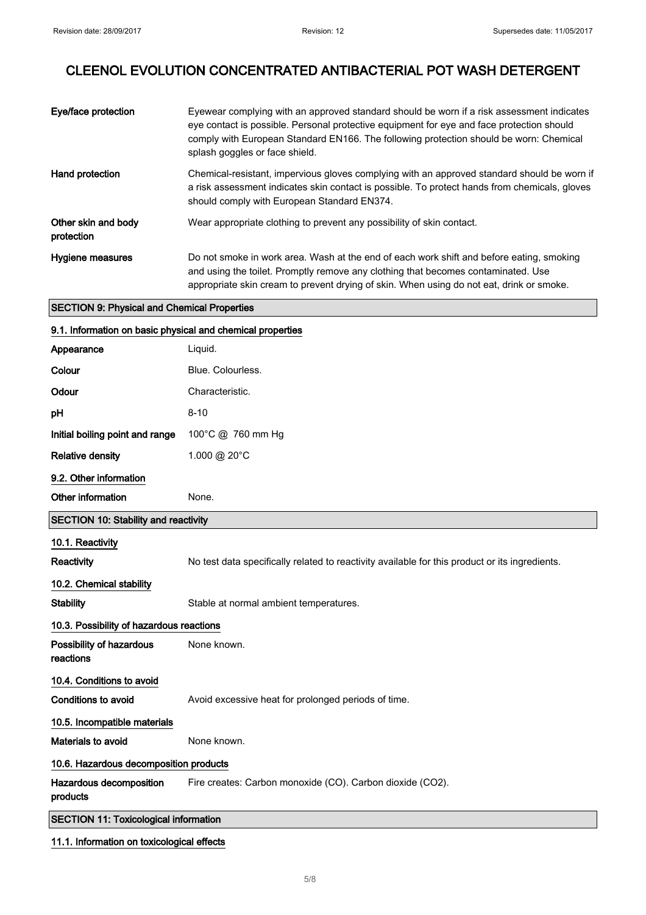| Eye/face protection               | Eyewear complying with an approved standard should be worn if a risk assessment indicates<br>eye contact is possible. Personal protective equipment for eye and face protection should<br>comply with European Standard EN166. The following protection should be worn: Chemical<br>splash goggles or face shield. |
|-----------------------------------|--------------------------------------------------------------------------------------------------------------------------------------------------------------------------------------------------------------------------------------------------------------------------------------------------------------------|
| Hand protection                   | Chemical-resistant, impervious gloves complying with an approved standard should be worn if<br>a risk assessment indicates skin contact is possible. To protect hands from chemicals, gloves<br>should comply with European Standard EN374.                                                                        |
| Other skin and body<br>protection | Wear appropriate clothing to prevent any possibility of skin contact.                                                                                                                                                                                                                                              |
| Hygiene measures                  | Do not smoke in work area. Wash at the end of each work shift and before eating, smoking<br>and using the toilet. Promptly remove any clothing that becomes contaminated. Use<br>appropriate skin cream to prevent drying of skin. When using do not eat, drink or smoke.                                          |

#### SECTION 9: Physical and Chemical Properties

| 9.1. Information on basic physical and chemical properties |                                                                                                |  |
|------------------------------------------------------------|------------------------------------------------------------------------------------------------|--|
| Appearance                                                 | Liquid.                                                                                        |  |
| Colour                                                     | Blue. Colourless.                                                                              |  |
| Odour                                                      | Characteristic.                                                                                |  |
| pH                                                         | $8 - 10$                                                                                       |  |
| Initial boiling point and range                            | 100°C @ 760 mm Hg                                                                              |  |
| <b>Relative density</b>                                    | 1.000 @ 20°C                                                                                   |  |
| 9.2. Other information                                     |                                                                                                |  |
| Other information                                          | None.                                                                                          |  |
| <b>SECTION 10: Stability and reactivity</b>                |                                                                                                |  |
| 10.1. Reactivity                                           |                                                                                                |  |
| Reactivity                                                 | No test data specifically related to reactivity available for this product or its ingredients. |  |
| 10.2. Chemical stability                                   |                                                                                                |  |
| <b>Stability</b>                                           | Stable at normal ambient temperatures.                                                         |  |
| 10.3. Possibility of hazardous reactions                   |                                                                                                |  |
| Possibility of hazardous<br>reactions                      | None known.                                                                                    |  |
| 10.4. Conditions to avoid                                  |                                                                                                |  |
| <b>Conditions to avoid</b>                                 | Avoid excessive heat for prolonged periods of time.                                            |  |
| 10.5. Incompatible materials                               |                                                                                                |  |
| Materials to avoid                                         | None known.                                                                                    |  |
| 10.6. Hazardous decomposition products                     |                                                                                                |  |
| Hazardous decomposition<br>products                        | Fire creates: Carbon monoxide (CO). Carbon dioxide (CO2).                                      |  |
| <b>SECTION 11: Toxicological information</b>               |                                                                                                |  |

### 11.1. Information on toxicological effects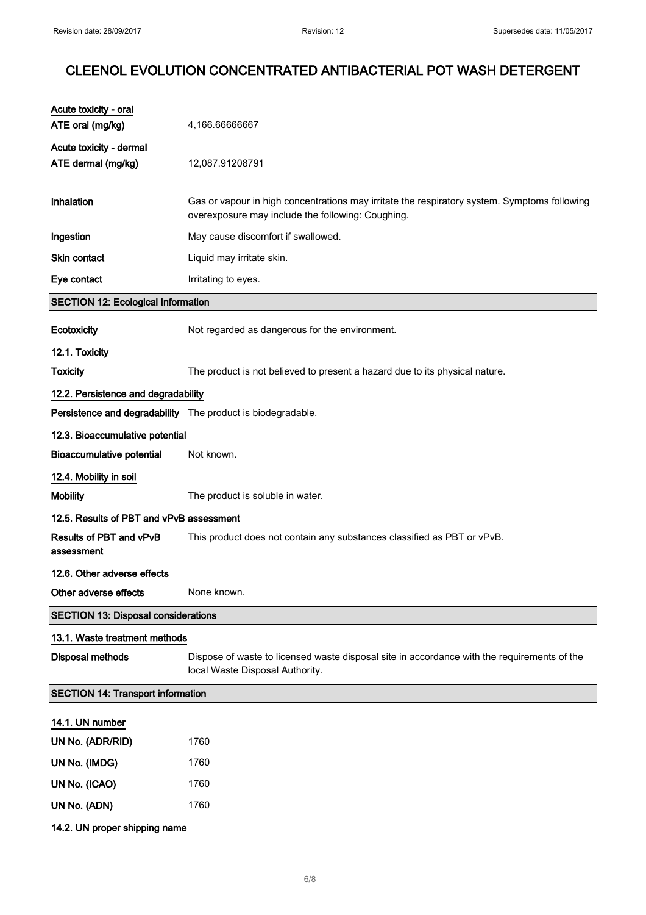| Acute toxicity - oral<br>ATE oral (mg/kg)     | 4,166.66666667                                                                                                                                    |
|-----------------------------------------------|---------------------------------------------------------------------------------------------------------------------------------------------------|
| Acute toxicity - dermal<br>ATE dermal (mg/kg) | 12,087.91208791                                                                                                                                   |
| Inhalation                                    | Gas or vapour in high concentrations may irritate the respiratory system. Symptoms following<br>overexposure may include the following: Coughing. |
| Ingestion                                     | May cause discomfort if swallowed.                                                                                                                |
| <b>Skin contact</b>                           | Liquid may irritate skin.                                                                                                                         |
| Eye contact                                   | Irritating to eyes.                                                                                                                               |
| <b>SECTION 12: Ecological Information</b>     |                                                                                                                                                   |
| Ecotoxicity                                   | Not regarded as dangerous for the environment.                                                                                                    |
| 12.1. Toxicity                                |                                                                                                                                                   |
| <b>Toxicity</b>                               | The product is not believed to present a hazard due to its physical nature.                                                                       |
| 12.2. Persistence and degradability           |                                                                                                                                                   |
|                                               | Persistence and degradability The product is biodegradable.                                                                                       |
| 12.3. Bioaccumulative potential               |                                                                                                                                                   |
| <b>Bioaccumulative potential</b>              | Not known.                                                                                                                                        |
| 12.4. Mobility in soil                        |                                                                                                                                                   |
| <b>Mobility</b>                               | The product is soluble in water.                                                                                                                  |
| 12.5. Results of PBT and vPvB assessment      |                                                                                                                                                   |
| Results of PBT and vPvB<br>assessment         | This product does not contain any substances classified as PBT or vPvB.                                                                           |
| 12.6. Other adverse effects                   |                                                                                                                                                   |
| Other adverse effects                         | None known.                                                                                                                                       |
| <b>SECTION 13: Disposal considerations</b>    |                                                                                                                                                   |
| 13.1. Waste treatment methods                 |                                                                                                                                                   |
| <b>Disposal methods</b>                       | Dispose of waste to licensed waste disposal site in accordance with the requirements of the<br>local Waste Disposal Authority.                    |
| <b>SECTION 14: Transport information</b>      |                                                                                                                                                   |
| 14.1. UN number                               |                                                                                                                                                   |
| UN No. (ADR/RID)                              | 1760                                                                                                                                              |
| UN No. (IMDG)                                 | 1760                                                                                                                                              |
| UN No. (ICAO)                                 | 1760                                                                                                                                              |
| UN No. (ADN)                                  | 1760                                                                                                                                              |
| 14.2. UN proper shipping name                 |                                                                                                                                                   |
|                                               |                                                                                                                                                   |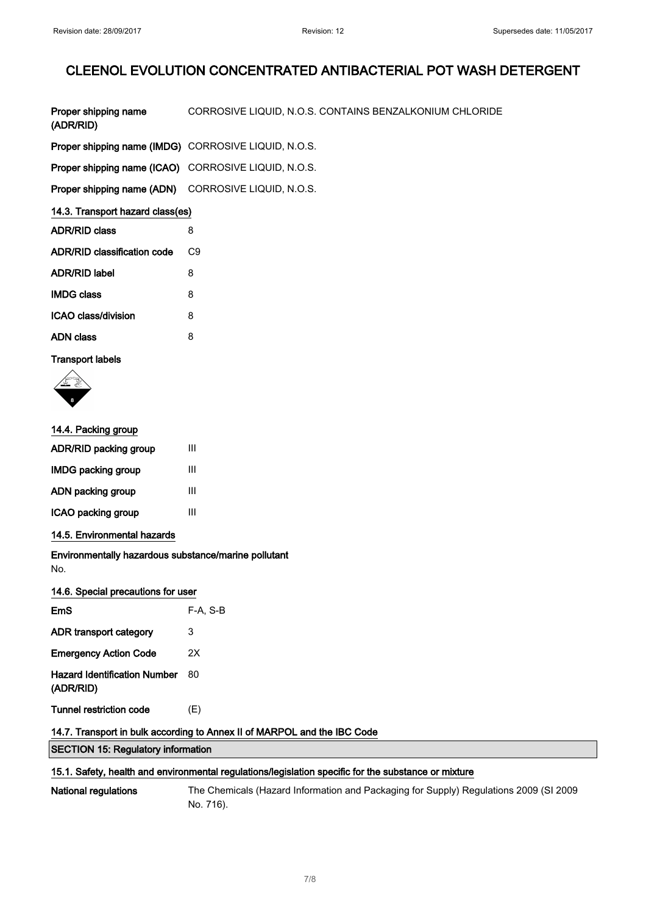| Proper shipping name<br>(ADR/RID)                           | CORROSIVE LIQUID, N.O.S. CONTAINS BENZALKONIUM CHLORIDE |  |
|-------------------------------------------------------------|---------------------------------------------------------|--|
| <b>Proper shipping name (IMDG)</b> CORROSIVE LIQUID, N.O.S. |                                                         |  |
| <b>Proper shipping name (ICAO)</b> CORROSIVE LIQUID, N.O.S. |                                                         |  |
| Proper shipping name (ADN) CORROSIVE LIQUID, N.O.S.         |                                                         |  |
| 14.3. Transport hazard class(es)                            |                                                         |  |
| <b>ADR/RID class</b>                                        | 8                                                       |  |
| <b>ADR/RID classification code</b>                          | C <sub>9</sub>                                          |  |
| <b>ADR/RID label</b>                                        | 8                                                       |  |
| <b>IMDG class</b>                                           | 8                                                       |  |
| ICAO class/division                                         | 8                                                       |  |
| <b>ADN class</b>                                            | 8                                                       |  |

### Transport labels



| 14.4. Packing group                                         |            |  |
|-------------------------------------------------------------|------------|--|
| <b>ADR/RID packing group</b>                                | Ш          |  |
| IMDG packing group                                          | Ш          |  |
| ADN packing group                                           | Ш          |  |
| ICAO packing group                                          | Ш          |  |
| 14.5. Environmental hazards                                 |            |  |
| Environmentally hazardous substance/marine pollutant<br>No. |            |  |
| 14.6. Special precautions for user                          |            |  |
| <b>EmS</b>                                                  | $F-A. S-B$ |  |
| ADR transport category                                      | 3          |  |
| <b>Emergency Action Code</b>                                | 2Χ         |  |
| <b>Hazard Identification Number</b><br>(ADR/RID)            | 80         |  |
| Tunnel restriction code                                     | (E)        |  |

### 14.7. Transport in bulk according to Annex II of MARPOL and the IBC Code

SECTION 15: Regulatory information

#### 15.1. Safety, health and environmental regulations/legislation specific for the substance or mixture

National regulations The Chemicals (Hazard Information and Packaging for Supply) Regulations 2009 (SI 2009 No. 716).